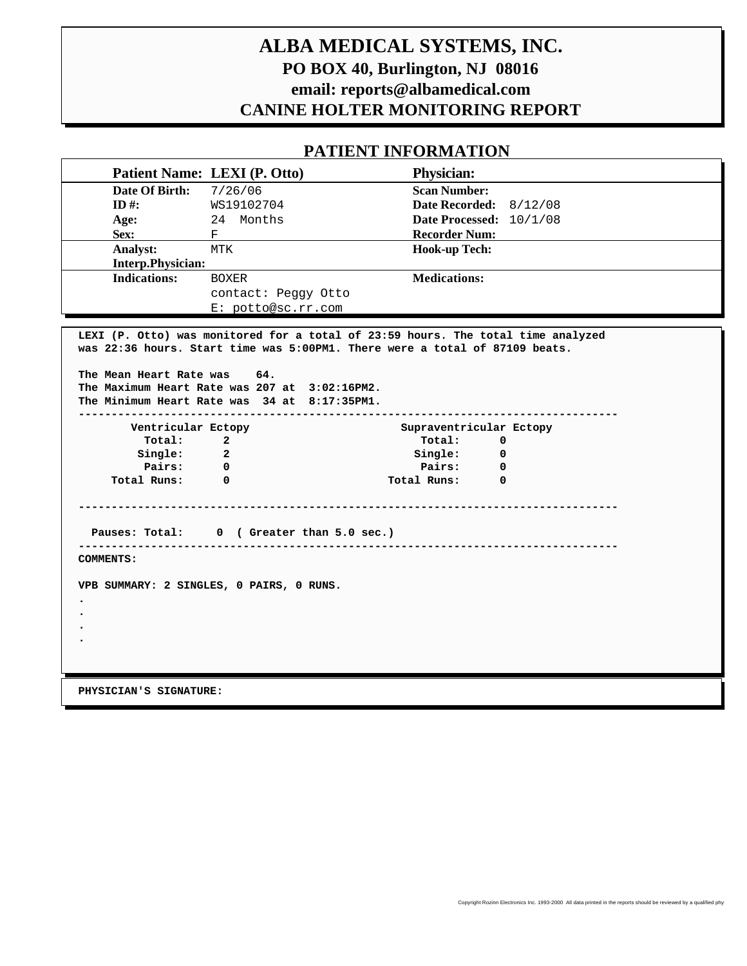# **ALBA MEDICAL SYSTEMS, INC. PO BOX 40, Burlington, NJ 08016 email: reports@albamedical.com CANINE HOLTER MONITORING REPORT**

## **PATIENT INFORMATION**

|                     | Patient Name: LEXI (P. Otto) | <b>Physician:</b>        |
|---------------------|------------------------------|--------------------------|
| Date Of Birth:      | 7/26/06                      | <b>Scan Number:</b>      |
| ID #:               | WS19102704                   | Date Recorded: $8/12/08$ |
| Age:                | Months<br>24                 | Date Processed: 10/1/08  |
| Sex:                | F                            | <b>Recorder Num:</b>     |
| Analyst:            | MTK                          | <b>Hook-up Tech:</b>     |
| Interp.Physician:   |                              |                          |
| <b>Indications:</b> | <b>BOXER</b>                 | <b>Medications:</b>      |
|                     | contact: Peggy Otto          |                          |
|                     | E: potto@sc.rr.com           |                          |

**LEXI (P. Otto) was monitored for a total of 23:59 hours. The total time analyzed was 22:36 hours. Start time was 5:00PM1. There were a total of 87109 beats. The Mean Heart Rate was 64. The Maximum Heart Rate was 207 at 3:02:16PM2. The Minimum Heart Rate was 34 at 8:17:35PM1. ---------------------------------------------------------------------------------- Ventricular Ectopy Supraventricular Ectopy Total: 2 Total: 0 Single:** 2 **Single:** 0  **Pairs: 0 Pairs: 0 Total Runs: 0 Total Runs: 0 ---------------------------------------------------------------------------------- Pauses: Total: 0 ( Greater than 5.0 sec.) ---------------------------------------------------------------------------------- COMMENTS: VPB SUMMARY: 2 SINGLES, 0 PAIRS, 0 RUNS. . . . .**

 **PHYSICIAN'S SIGNATURE:**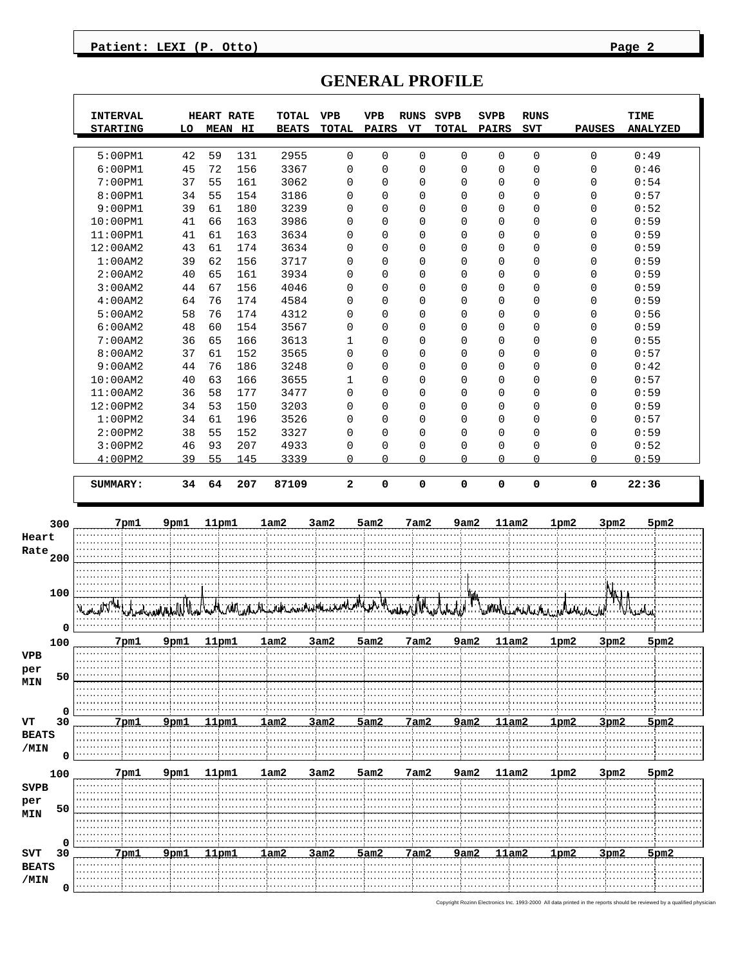#### Patient: LEXI (P. Otto) Page 2

|                                                                     | <b>INTERVAL</b><br><b>STARTING</b> | LO       | <b>HEART RATE</b><br><b>MEAN HI</b>                                                                        | TOTAL<br><b>BEATS</b> | <b>VPB</b><br><b>TOTAL</b>       | <b>VPB</b><br><b>PAIRS</b> | <b>RUNS</b><br>VT | <b>SVPB</b><br><b>TOTAL</b> | <b>SVPB</b><br><b>PAIRS</b> | <b>RUNS</b><br><b>SVT</b>  | <b>PAUSES</b> | <b>TIME</b><br><b>ANALYZED</b> |
|---------------------------------------------------------------------|------------------------------------|----------|------------------------------------------------------------------------------------------------------------|-----------------------|----------------------------------|----------------------------|-------------------|-----------------------------|-----------------------------|----------------------------|---------------|--------------------------------|
|                                                                     | 5:00PM1                            | 42       | 59<br>131                                                                                                  | 2955                  | $\mathsf 0$                      | 0                          | 0                 | $\mathbf 0$                 | 0                           | 0                          | 0             | 0:49                           |
|                                                                     | 6:00PM1                            | 45       | 72<br>156                                                                                                  | 3367                  | $\overline{0}$                   | 0                          | $\mathbf 0$       | $\mathbf 0$                 | $\mathbf 0$                 | $\mathbf 0$                | $\mathbf 0$   | 0:46                           |
|                                                                     | 7:00PM1                            | 37       | 55<br>161                                                                                                  | 3062                  | $\mathbf 0$                      | 0                          | 0                 | $\mathbf 0$                 | 0                           | $\mathbf 0$                | 0             | 0:54                           |
|                                                                     | 8:00PM1                            | 34       | 55<br>154                                                                                                  | 3186                  | $\mathbf 0$                      | 0                          | $\mathbf 0$       | $\mathbf 0$                 | 0                           | $\mathbf 0$                | 0             | 0:57                           |
|                                                                     | 9:00PM1                            | 39       | 61<br>180                                                                                                  | 3239                  | $\overline{0}$                   | 0                          | 0                 | $\mathbf 0$                 | $\Omega$                    | $\mathbf 0$                | 0             | 0:52                           |
|                                                                     | $10:00$ PM $1$                     | 41       | 66<br>163                                                                                                  | 3986                  | $\overline{0}$                   | 0                          | 0                 | $\mathbf 0$                 | 0                           | $\mathbf 0$                | 0             | 0:59                           |
|                                                                     | $11:00$ PM $1$                     | 41       | 61<br>163                                                                                                  | 3634                  | $\Omega$                         | 0                          | $\mathbf 0$       | $\mathbf 0$                 | 0                           | $\mathbf 0$                | 0             | 0:59                           |
|                                                                     | 12:00AM2                           | 43       | 61<br>174                                                                                                  | 3634                  | $\overline{0}$                   | 0                          | 0                 | $\mathbf 0$                 | 0                           | $\mathbf 0$                | 0             | 0:59                           |
|                                                                     | 1:00AM2<br>2:00AM2                 | 39       | 62<br>156<br>65<br>161                                                                                     | 3717<br>3934          | $\overline{0}$<br>$\overline{0}$ | 0<br>0                     | 0<br>0            | $\mathbf 0$<br>$\mathbf 0$  | $\Omega$<br>0               | $\mathbf 0$<br>$\mathbf 0$ | $\Omega$<br>0 | 0:59                           |
|                                                                     | 3:00AM2                            | 40<br>44 | 67<br>156                                                                                                  | 4046                  | $\overline{0}$                   | 0                          | 0                 | $\mathbf 0$                 | 0                           | $\mathbf 0$                | 0             | 0:59<br>0:59                   |
|                                                                     | 4:00AM2                            | 64       | 76<br>174                                                                                                  | 4584                  | $\overline{0}$                   | 0                          | $\mathbf 0$       | $\mathbf 0$                 | 0                           | $\mathbf 0$                | 0             | 0:59                           |
|                                                                     | 5:00AM2                            | 58       | 76<br>174                                                                                                  | 4312                  | $\mathbf 0$                      | 0                          | 0                 | $\mathbf 0$                 | 0                           | $\mathbf 0$                | 0             | 0:56                           |
|                                                                     | 6:00AM2                            | 48       | 60<br>154                                                                                                  | 3567                  | $\overline{0}$                   | 0                          | 0                 | $\mathbf 0$                 | $\Omega$                    | $\mathbf 0$                | $\Omega$      | 0:59                           |
|                                                                     | 7:00AM2                            | 36       | 65<br>166                                                                                                  | 3613                  | 1                                | 0                          | 0                 | $\mathbf 0$                 | $\Omega$                    | $\mathbf 0$                | 0             | 0:55                           |
|                                                                     | 8:00AM2                            | 37       | 61<br>152                                                                                                  | 3565                  | $\overline{0}$                   | 0                          | 0                 | $\mathbf 0$                 | 0                           | $\mathbf 0$                | 0             | 0:57                           |
|                                                                     | 9:00AM2                            | 44       | 76<br>186                                                                                                  | 3248                  | $\overline{0}$                   | 0                          | $\mathbf 0$       | $\mathbf 0$                 | 0                           | $\mathbf 0$                | 0             | 0:42                           |
|                                                                     | 10:00AM2                           | 40       | 63<br>166                                                                                                  | 3655                  | $\mathbf{1}$                     | 0                          | 0                 | $\mathbf 0$                 | 0                           | $\mathbf 0$                | 0             | 0:57                           |
|                                                                     | 11:00AM2                           | 36       | 58<br>177                                                                                                  | 3477                  | $\overline{0}$                   | 0                          | 0                 | $\mathbf 0$                 | $\Omega$                    | $\mathbf 0$                | $\Omega$      | 0:59                           |
|                                                                     | 12:00PM2                           | 34       | 53<br>150<br>61                                                                                            | 3203                  | $\overline{0}$<br>$\overline{0}$ | 0<br>0                     | 0<br>0            | $\mathbf 0$<br>$\mathbf 0$  | $\Omega$<br>0               | $\mathbf 0$<br>$\mathbf 0$ | 0<br>0        | 0:59                           |
|                                                                     | 1:00PM2<br>2:00PM2                 | 34<br>38 | 196<br>55<br>152                                                                                           | 3526<br>3327          | $\overline{0}$                   | 0                          | $\mathbf 0$       | $\mathbf 0$                 | 0                           | $\mathbf 0$                | 0             | 0:57<br>0:59                   |
|                                                                     | 3:00PM2                            | 46       | 93<br>207                                                                                                  | 4933                  | 0                                | 0                          | 0                 | 0                           | 0                           | $\mathbf 0$                | 0             | 0:52                           |
|                                                                     | 4:00PM2                            | 39       | 55<br>145                                                                                                  | 3339                  | $\Omega$                         | 0                          | $\Omega$          | $\Omega$                    | $\Omega$                    | $\Omega$                   | $\cap$        | 0:59                           |
|                                                                     | SUMMARY:                           | 34       | 64<br>207                                                                                                  | 87109                 | $\mathbf{2}$                     | 0                          | 0                 | 0                           | 0                           | 0                          | 0             | 22:36                          |
|                                                                     |                                    |          |                                                                                                            |                       |                                  |                            |                   |                             |                             |                            |               |                                |
| 300                                                                 | 7pm1                               | 9pm1     | 11pm1                                                                                                      | 1am2                  | 3am2                             | 5am2                       | 7am2              | 9am2                        | 11am2                       |                            | 1pm2<br>3pm2  | 5pm2                           |
| Heart                                                               |                                    |          |                                                                                                            |                       |                                  |                            |                   |                             |                             |                            |               |                                |
| Rate<br>200                                                         |                                    |          |                                                                                                            |                       |                                  |                            |                   |                             |                             |                            |               |                                |
|                                                                     |                                    |          |                                                                                                            |                       |                                  |                            |                   |                             |                             |                            |               |                                |
| 100                                                                 |                                    |          | was a formation of the formation of the construction of the formation of the formation of the formation of |                       |                                  |                            |                   |                             | <b>TLMWALL</b>              |                            |               |                                |
| 0                                                                   |                                    |          |                                                                                                            |                       |                                  |                            |                   |                             |                             |                            |               |                                |
| 100                                                                 | 7pm1                               | 9pm1     | 11pm1                                                                                                      | 1am2                  | 3am2                             | 5am2                       | 7am2              | 9am2                        | 11am2                       |                            | 1pm2<br>3pm2  | 5pm2                           |
| VPB                                                                 |                                    |          |                                                                                                            |                       |                                  |                            |                   |                             |                             |                            |               |                                |
| $\ensuremath{\mathop{\text{\rm per}}\nolimits}$<br>50<br><b>MIN</b> |                                    |          |                                                                                                            |                       |                                  |                            |                   |                             |                             |                            |               |                                |
|                                                                     |                                    |          |                                                                                                            |                       |                                  |                            |                   |                             |                             |                            |               |                                |
| 0                                                                   |                                    |          |                                                                                                            |                       |                                  |                            |                   |                             |                             |                            |               |                                |
| VT<br>30                                                            | 7 pm.                              | 9pm.     | ำ הרח⊺ 1                                                                                                   | 1am2                  | 3am2                             | 5am2                       | 7am2              | 9am;                        | 11am2                       |                            | ⊀rom          | 5pm2                           |
| <b>BEATS</b>                                                        |                                    |          |                                                                                                            |                       |                                  |                            |                   |                             |                             |                            |               |                                |
| /MIN<br>$\mathbf 0$                                                 |                                    |          |                                                                                                            |                       |                                  |                            |                   |                             |                             |                            |               |                                |
| 100                                                                 | 7pm1                               | 9pm1     | 11pm1                                                                                                      | 1am2                  | 3am2                             | 5am2                       | 7am2              | 9am2                        | 11am2                       |                            | 1pm2<br>3pm2  | 5pm2                           |
| <b>SVPB</b>                                                         |                                    |          |                                                                                                            |                       |                                  |                            |                   |                             |                             |                            |               |                                |
| per                                                                 |                                    |          |                                                                                                            |                       |                                  |                            |                   |                             |                             |                            |               |                                |
| 50<br><b>MIN</b>                                                    |                                    |          |                                                                                                            |                       |                                  |                            |                   |                             |                             |                            |               |                                |
|                                                                     |                                    |          |                                                                                                            |                       |                                  |                            |                   |                             |                             |                            |               |                                |
| 0<br>SVT<br>30                                                      | 7pm.                               | 9pm.     | ำ⊓ר ⊓                                                                                                      | 1am2                  | 3am2                             | 5am2                       | 7am2              | 9am;                        | 11am2                       |                            | lom⊇<br>som:  | 5pm2                           |
| <b>BEATS</b>                                                        |                                    |          |                                                                                                            |                       |                                  |                            |                   |                             |                             |                            |               |                                |
|                                                                     |                                    |          |                                                                                                            |                       |                                  |                            |                   |                             |                             |                            |               |                                |
| /MIN<br>0                                                           |                                    |          |                                                                                                            |                       |                                  |                            |                   |                             |                             |                            |               |                                |

# **GENERAL PROFILE**

Copyright Rozinn Electronics Inc. 1993-2000 All data printed in the reports should be reviewed by a qualified physician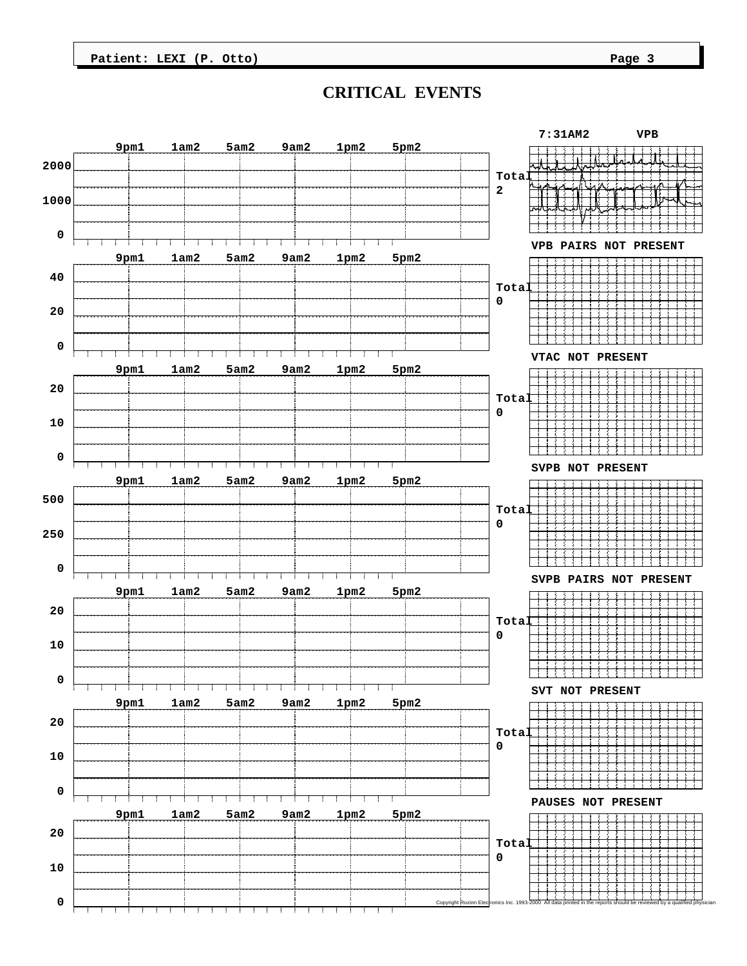**Patient: LEXI (P. Otto) Page 3** 

### **CRITICAL EVENTS**

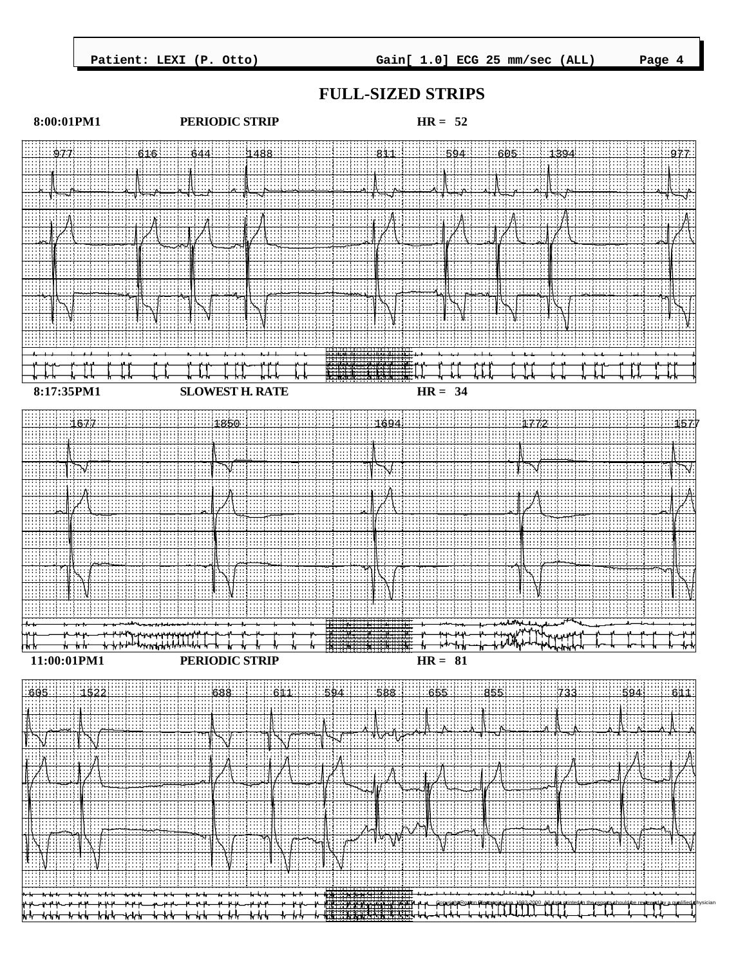

#### **FULL-SIZED STRIPS**

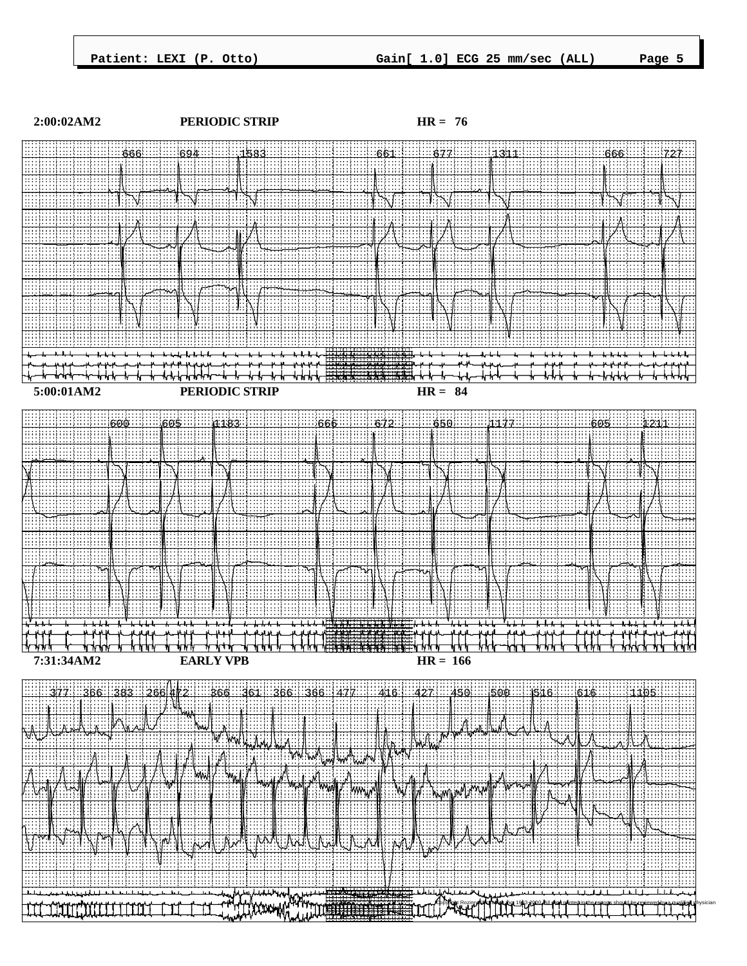

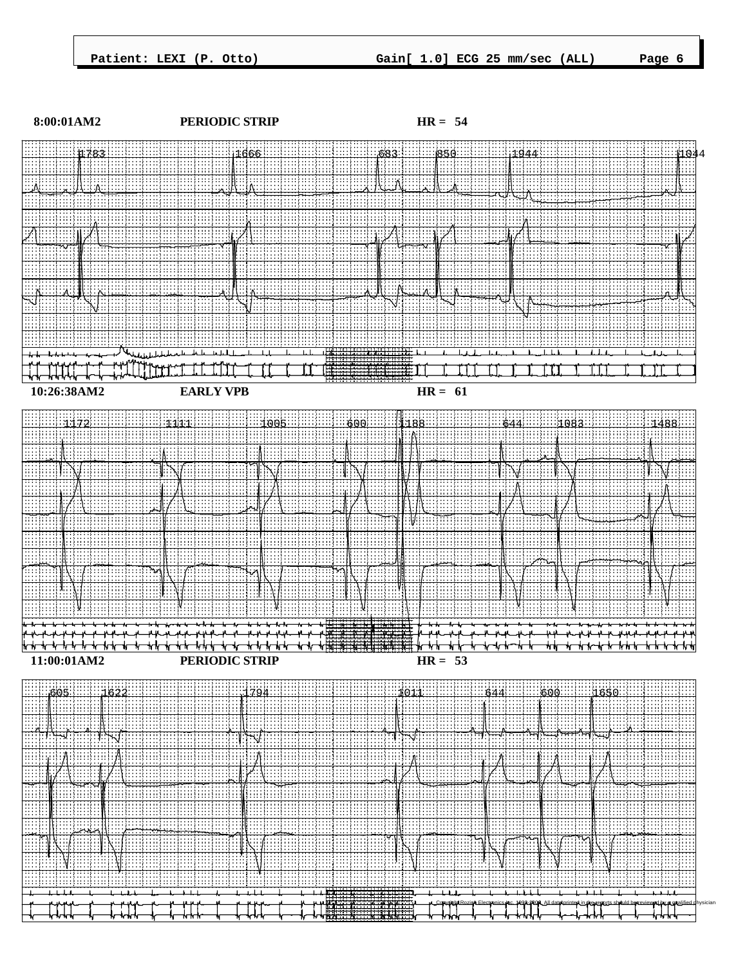